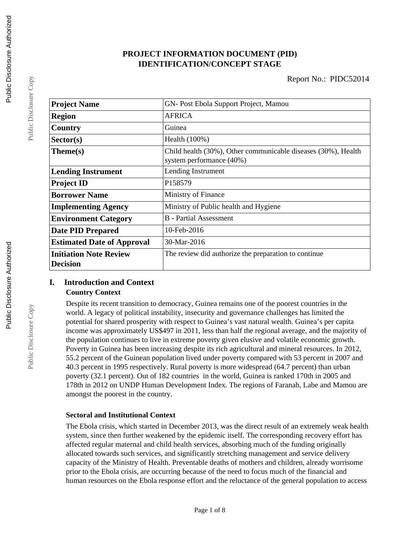# **PROJECT INFORMATION DOCUMENT (PID) IDENTIFICATION/CONCEPT STAGE**

| <b>Project Name</b>                              | GN-Post Ebola Support Project, Mamou                                                      |  |  |
|--------------------------------------------------|-------------------------------------------------------------------------------------------|--|--|
| <b>Region</b>                                    | <b>AFRICA</b>                                                                             |  |  |
| Country                                          | Guinea                                                                                    |  |  |
| Sector(s)                                        | Health (100%)                                                                             |  |  |
| Theme(s)                                         | Child health (30%), Other communicable diseases (30%), Health<br>system performance (40%) |  |  |
| <b>Lending Instrument</b>                        | Lending Instrument                                                                        |  |  |
| <b>Project ID</b>                                | P158579                                                                                   |  |  |
| <b>Borrower Name</b>                             | Ministry of Finance                                                                       |  |  |
| <b>Implementing Agency</b>                       | Ministry of Public health and Hygiene                                                     |  |  |
| <b>Environment Category</b>                      | <b>B</b> - Partial Assessment                                                             |  |  |
| <b>Date PID Prepared</b>                         | $10$ -Feb-2016                                                                            |  |  |
| <b>Estimated Date of Approval</b>                | 30-Mar-2016                                                                               |  |  |
| <b>Initiation Note Review</b><br><b>Decision</b> | The review did authorize the preparation to continue                                      |  |  |

#### **I. Introduction and Context Country Context**

Despite its recent transition to democracy, Guinea remains one of the poorest countries in the world. A legacy of political instability, insecurity and governance challenges has limited the potential for shared prosperity with respect to Guinea's vast natural wealth. Guinea's per capita income was approximately US\$497 in 2011, less than half the regional average, and the majority of the population continues to live in extreme poverty given elusive and volatile economic growth. Poverty in Guinea has been increasing despite its rich agricultural and mineral resources. In 2012, 55.2 percent of the Guinean population lived under poverty compared with 53 percent in 2007 and 40.3 percent in 1995 respectively. Rural poverty is more widespread (64.7 percent) than urban poverty (32.1 percent). Out of 182 countries in the world, Guinea is ranked 170th in 2005 and 178th in 2012 on UNDP Human Development Index. The regions of Faranah, Labe and Mamou are amongst the poorest in the country.

#### **Sectoral and Institutional Context**

The Ebola crisis, which started in December 2013, was the direct result of an extremely weak health system, since then further weakened by the epidemic itself. The corresponding recovery effort has affected regular maternal and child health services, absorbing much of the funding originally allocated towards such services, and significantly stretching management and service delivery capacity of the Ministry of Health. Preventable deaths of mothers and children, already worrisome prior to the Ebola crisis, are occurring because of the need to focus much of the financial and human resources on the Ebola response effort and the reluctance of the general population to access

Public Disclosure Copy

Public Disclosure Copy

Public Disclosure Copy

Public Disclosure Copy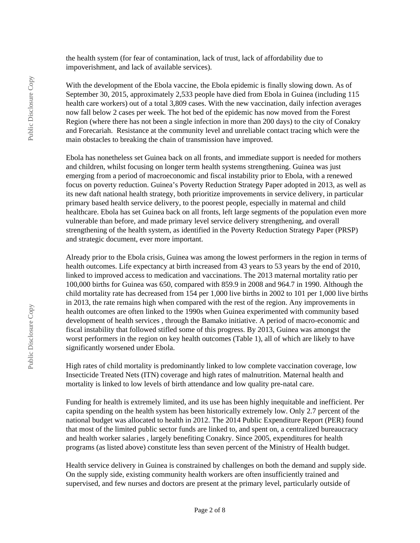the health system (for fear of contamination, lack of trust, lack of affordability due to impoverishment, and lack of available services).

With the development of the Ebola vaccine, the Ebola epidemic is finally slowing down. As of September 30, 2015, approximately 2,533 people have died from Ebola in Guinea (including 115 health care workers) out of a total 3,809 cases. With the new vaccination, daily infection averages now fall below 2 cases per week. The hot bed of the epidemic has now moved from the Forest Region (where there has not been a single infection in more than 200 days) to the city of Conakry and Forecariah. Resistance at the community level and unreliable contact tracing which were the main obstacles to breaking the chain of transmission have improved.

Ebola has nonetheless set Guinea back on all fronts, and immediate support is needed for mothers and children, whilst focusing on longer term health systems strengthening. Guinea was just emerging from a period of macroeconomic and fiscal instability prior to Ebola, with a renewed focus on poverty reduction. Guinea's Poverty Reduction Strategy Paper adopted in 2013, as well as its new daft national health strategy, both prioritize improvements in service delivery, in particular primary based health service delivery, to the poorest people, especially in maternal and child healthcare. Ebola has set Guinea back on all fronts, left large segments of the population even more vulnerable than before, and made primary level service delivery strengthening, and overall strengthening of the health system, as identified in the Poverty Reduction Strategy Paper (PRSP) and strategic document, ever more important.

Already prior to the Ebola crisis, Guinea was among the lowest performers in the region in terms of health outcomes. Life expectancy at birth increased from 43 years to 53 years by the end of 2010, linked to improved access to medication and vaccinations. The 2013 maternal mortality ratio per 100,000 births for Guinea was 650, compared with 859.9 in 2008 and 964.7 in 1990. Although the child mortality rate has decreased from 154 per 1,000 live births in 2002 to 101 per 1,000 live births in 2013, the rate remains high when compared with the rest of the region. Any improvements in health outcomes are often linked to the 1990s when Guinea experimented with community based development of health services , through the Bamako initiative. A period of macro-economic and fiscal instability that followed stifled some of this progress. By 2013, Guinea was amongst the worst performers in the region on key health outcomes (Table 1), all of which are likely to have significantly worsened under Ebola.

High rates of child mortality is predominantly linked to low complete vaccination coverage, low Insecticide Treated Nets (ITN) coverage and high rates of malnutrition. Maternal health and mortality is linked to low levels of birth attendance and low quality pre-natal care.

Funding for health is extremely limited, and its use has been highly inequitable and inefficient. Per capita spending on the health system has been historically extremely low. Only 2.7 percent of the national budget was allocated to health in 2012. The 2014 Public Expenditure Report (PER) found that most of the limited public sector funds are linked to, and spent on, a centralized bureaucracy and health worker salaries , largely benefiting Conakry. Since 2005, expenditures for health programs (as listed above) constitute less than seven percent of the Ministry of Health budget.

Health service delivery in Guinea is constrained by challenges on both the demand and supply side. On the supply side, existing community health workers are often insufficiently trained and supervised, and few nurses and doctors are present at the primary level, particularly outside of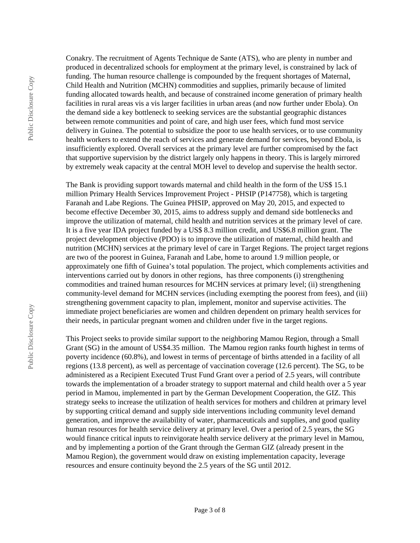Conakry. The recruitment of Agents Technique de Sante (ATS), who are plenty in number and produced in decentralized schools for employment at the primary level, is constrained by lack of funding. The human resource challenge is compounded by the frequent shortages of Maternal, Child Health and Nutrition (MCHN) commodities and supplies, primarily because of limited funding allocated towards health, and because of constrained income generation of primary health facilities in rural areas vis a vis larger facilities in urban areas (and now further under Ebola). On the demand side a key bottleneck to seeking services are the substantial geographic distances between remote communities and point of care, and high user fees, which fund most service delivery in Guinea. The potential to subsidize the poor to use health services, or to use community health workers to extend the reach of services and generate demand for services, beyond Ebola, is insufficiently explored. Overall services at the primary level are further compromised by the fact that supportive supervision by the district largely only happens in theory. This is largely mirrored by extremely weak capacity at the central MOH level to develop and supervise the health sector.

The Bank is providing support towards maternal and child health in the form of the US\$ 15.1 million Primary Health Services Improvement Project - PHSIP (P147758), which is targeting Faranah and Labe Regions. The Guinea PHSIP, approved on May 20, 2015, and expected to become effective December 30, 2015, aims to address supply and demand side bottlenecks and improve the utilization of maternal, child health and nutrition services at the primary level of care. It is a five year IDA project funded by a US\$ 8.3 million credit, and US\$6.8 million grant. The project development objective (PDO) is to improve the utilization of maternal, child health and nutrition (MCHN) services at the primary level of care in Target Regions. The project target regions are two of the poorest in Guinea, Faranah and Labe, home to around 1.9 million people, or approximately one fifth of Guinea's total population. The project, which complements activities and interventions carried out by donors in other regions, has three components (i) strengthening commodities and trained human resources for MCHN services at primary level; (ii) strengthening community-level demand for MCHN services (including exempting the poorest from fees), and (iii) strengthening government capacity to plan, implement, monitor and supervise activities. The immediate project beneficiaries are women and children dependent on primary health services for their needs, in particular pregnant women and children under five in the target regions.

This Project seeks to provide similar support to the neighboring Mamou Region, through a Small Grant (SG) in the amount of US\$4.35 million. The Mamou region ranks fourth highest in terms of poverty incidence (60.8%), and lowest in terms of percentage of births attended in a facility of all regions (13.8 percent), as well as percentage of vaccination coverage (12.6 percent). The SG, to be administered as a Recipient Executed Trust Fund Grant over a period of 2.5 years, will contribute towards the implementation of a broader strategy to support maternal and child health over a 5 year period in Mamou, implemented in part by the German Development Cooperation, the GIZ. This strategy seeks to increase the utilization of health services for mothers and children at primary level by supporting critical demand and supply side interventions including community level demand generation, and improve the availability of water, pharmaceuticals and supplies, and good quality human resources for health service delivery at primary level. Over a period of 2.5 years, the SG would finance critical inputs to reinvigorate health service delivery at the primary level in Mamou, and by implementing a portion of the Grant through the German GIZ (already present in the Mamou Region), the government would draw on existing implementation capacity, leverage resources and ensure continuity beyond the 2.5 years of the SG until 2012.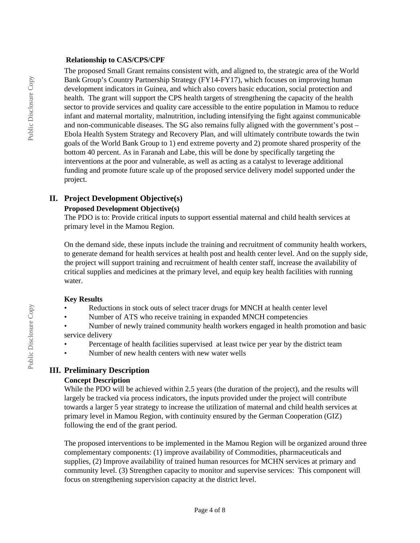#### **Relationship to CAS/CPS/CPF**

The proposed Small Grant remains consistent with, and aligned to, the strategic area of the World Bank Group's Country Partnership Strategy (FY14-FY17), which focuses on improving human development indicators in Guinea, and which also covers basic education, social protection and health. The grant will support the CPS health targets of strengthening the capacity of the health sector to provide services and quality care accessible to the entire population in Mamou to reduce infant and maternal mortality, malnutrition, including intensifying the fight against communicable and non-communicable diseases. The SG also remains fully aligned with the government's post – Ebola Health System Strategy and Recovery Plan, and will ultimately contribute towards the twin goals of the World Bank Group to 1) end extreme poverty and 2) promote shared prosperity of the bottom 40 percent. As in Faranah and Labe, this will be done by specifically targeting the interventions at the poor and vulnerable, as well as acting as a catalyst to leverage additional funding and promote future scale up of the proposed service delivery model supported under the project.

### **II. Project Development Objective(s)**

#### **Proposed Development Objective(s)**

The PDO is to: Provide critical inputs to support essential maternal and child health services at primary level in the Mamou Region.

On the demand side, these inputs include the training and recruitment of community health workers, to generate demand for health services at health post and health center level. And on the supply side, the project will support training and recruitment of health center staff, increase the availability of critical supplies and medicines at the primary level, and equip key health facilities with running water.

#### **Key Results**

- Reductions in stock outs of select tracer drugs for MNCH at health center level
- Number of ATS who receive training in expanded MNCH competencies
- Number of newly trained community health workers engaged in health promotion and basic service delivery
- Percentage of health facilities supervised at least twice per year by the district team
- Number of new health centers with new water wells

# **III. Preliminary Description**

#### **Concept Description**

While the PDO will be achieved within 2.5 years (the duration of the project), and the results will largely be tracked via process indicators, the inputs provided under the project will contribute towards a larger 5 year strategy to increase the utilization of maternal and child health services at primary level in Mamou Region, with continuity ensured by the German Cooperation (GIZ) following the end of the grant period.

The proposed interventions to be implemented in the Mamou Region will be organized around three complementary components: (1) improve availability of Commodities, pharmaceuticals and supplies, (2) Improve availability of trained human resources for MCHN services at primary and community level. (3) Strengthen capacity to monitor and supervise services: This component will focus on strengthening supervision capacity at the district level.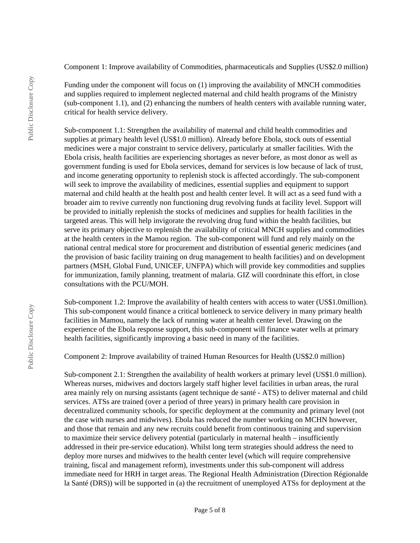Component 1: Improve availability of Commodities, pharmaceuticals and Supplies (US\$2.0 million)

Funding under the component will focus on (1) improving the availability of MNCH commodities and supplies required to implement neglected maternal and child health programs of the Ministry (sub-component 1.1), and (2) enhancing the numbers of health centers with available running water, critical for health service delivery.

Sub-component 1.1: Strengthen the availability of maternal and child health commodities and supplies at primary health level (US\$1.0 million). Already before Ebola, stock outs of essential medicines were a major constraint to service delivery, particularly at smaller facilities. With the Ebola crisis, health facilities are experiencing shortages as never before, as most donor as well as government funding is used for Ebola services, demand for services is low because of lack of trust, and income generating opportunity to replenish stock is affected accordingly. The sub-component will seek to improve the availability of medicines, essential supplies and equipment to support maternal and child health at the health post and health center level. It will act as a seed fund with a broader aim to revive currently non functioning drug revolving funds at facility level. Support will be provided to initially replenish the stocks of medicines and supplies for health facilities in the targeted areas. This will help invigorate the revolving drug fund within the health facilities, but serve its primary objective to replenish the availability of critical MNCH supplies and commodities at the health centers in the Mamou region. The sub-component will fund and rely mainly on the national central medical store for procurement and distribution of essential generic medicines (and the provision of basic facility training on drug management to health facilities) and on development partners (MSH, Global Fund, UNICEF, UNFPA) which will provide key commodities and supplies for immunization, family planning, treatment of malaria. GIZ will coordninate this effort, in close consultations with the PCU/MOH.

Sub-component 1.2: Improve the availability of health centers with access to water (US\$1.0million). This sub-component would finance a critical bottleneck to service delivery in many primary health facilities in Mamou, namely the lack of running water at health center level. Drawing on the experience of the Ebola response support, this sub-component will finance water wells at primary health facilities, significantly improving a basic need in many of the facilities.

Component 2: Improve availability of trained Human Resources for Health (US\$2.0 million)

Sub-component 2.1: Strengthen the availability of health workers at primary level (US\$1.0 million). Whereas nurses, midwives and doctors largely staff higher level facilities in urban areas, the rural area mainly rely on nursing assistants (agent technique de santé - ATS) to deliver maternal and child services. ATSs are trained (over a period of three years) in primary health care provision in decentralized community schools, for specific deployment at the community and primary level (not the case with nurses and midwives). Ebola has reduced the number working on MCHN however, and those that remain and any new recruits could benefit from continuous training and supervision to maximize their service delivery potential (particularly in maternal health – insufficiently addressed in their pre-service education). Whilst long term strategies should address the need to deploy more nurses and midwives to the health center level (which will require comprehensive training, fiscal and management reform), investments under this sub-component will address immediate need for HRH in target areas. The Regional Health Administration (Direction Régionalde la Santé (DRS)) will be supported in (a) the recruitment of unemployed ATSs for deployment at the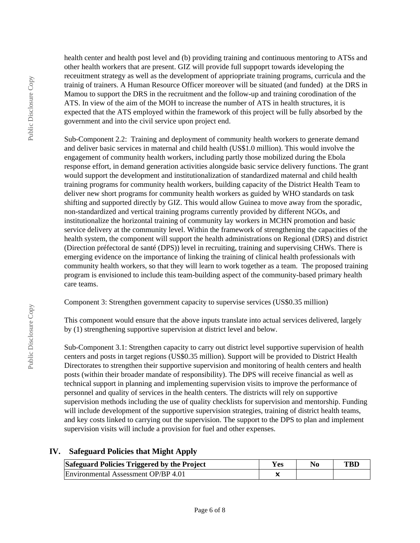health center and health post level and (b) providing training and continuous mentoring to ATSs and other health workers that are present. GIZ will provide full suppoprt towards ideveloping the receuitment strategy as well as the development of appriopriate training programs, curricula and the trainig of trainers. A Human Resource Officer moreover will be situated (and funded) at the DRS in Mamou to support the DRS in the recruitment and the follow-up and training corodination of the ATS. In view of the aim of the MOH to increase the number of ATS in health structures, it is expected that the ATS employed within the framework of this project will be fully absorbed by the government and into the civil service upon project end.

Sub-Component 2.2: Training and deployment of community health workers to generate demand and deliver basic services in maternal and child health (US\$1.0 million). This would involve the engagement of community health workers, including partly those mobilized during the Ebola response effort, in demand generation activities alongside basic service delivery functions. The grant would support the development and institutionalization of standardized maternal and child health training programs for community health workers, building capacity of the District Health Team to deliver new short programs for community health workers as guided by WHO standards on task shifting and supported directly by GIZ. This would allow Guinea to move away from the sporadic, non-standardized and vertical training programs currently provided by different NGOs, and institutionalize the horizontal training of community lay workers in MCHN promotion and basic service delivery at the community level. Within the framework of strengthening the capacities of the health system, the component will support the health administrations on Regional (DRS) and district (Direction préfectoral de santé (DPS)) level in recruiting, training and supervising CHWs. There is emerging evidence on the importance of linking the training of clinical health professionals with community health workers, so that they will learn to work together as a team. The proposed training program is envisioned to include this team-building aspect of the community-based primary health care teams.

Component 3: Strengthen government capacity to supervise services (US\$0.35 million)

This component would ensure that the above inputs translate into actual services delivered, largely by (1) strengthening supportive supervision at district level and below.

Sub-Component 3.1: Strengthen capacity to carry out district level supportive supervision of health centers and posts in target regions (US\$0.35 million). Support will be provided to District Health Directorates to strengthen their supportive supervision and monitoring of health centers and health posts (within their broader mandate of responsibility). The DPS will receive financial as well as technical support in planning and implementing supervision visits to improve the performance of personnel and quality of services in the health centers. The districts will rely on supportive supervision methods including the use of quality checklists for supervision and mentorship. Funding will include development of the supportive supervision strategies, training of district health teams, and key costs linked to carrying out the supervision. The support to the DPS to plan and implement supervision visits will include a provision for fuel and other expenses.

# **IV. Safeguard Policies that Might Apply**

| Safeguard Policies Triggered by the Project | Yes | No | <b>TBD</b> |
|---------------------------------------------|-----|----|------------|
| Environmental Assessment OP/BP 4.01         |     |    |            |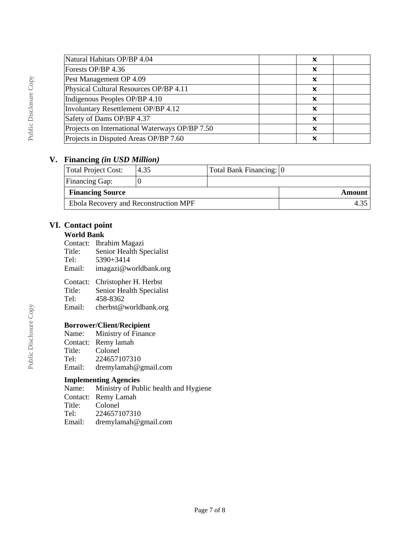| Natural Habitats OP/BP 4.04                    | x |  |
|------------------------------------------------|---|--|
| Forests OP/BP 4.36                             | X |  |
| Pest Management OP 4.09                        | X |  |
| Physical Cultural Resources OP/BP 4.11         | X |  |
| Indigenous Peoples OP/BP 4.10                  | x |  |
| Involuntary Resettlement OP/BP 4.12            | x |  |
| Safety of Dams OP/BP 4.37                      | x |  |
| Projects on International Waterways OP/BP 7.50 | x |  |
| Projects in Disputed Areas OP/BP 7.60          | x |  |
|                                                |   |  |

### **V. Financing** *(in USD Million)*

| Total Project Cost:                   | 4.35 | Total Bank Financing: 0 |  |
|---------------------------------------|------|-------------------------|--|
| <b>Financing Gap:</b>                 |      |                         |  |
| <b>Financing Source</b>               |      | Amount                  |  |
| Ebola Recovery and Reconstruction MPF |      |                         |  |

### **VI. Contact point**

#### **World Bank**

- Contact: Ibrahim Magazi
- Title: Senior Health Specialist<br>Tel: 5390+3414
- Tel: 5390+3414
- Email: imagazi@worldbank.org

# Contact: Christopher H. Herbst<br>Title: Senior Health Specialis

- Title: Senior Health Specialist<br>Tel: 458-8362
- 
- Tel:  $458-8362$ <br>Email: cherbst@y cherbst@worldbank.org

# **Borrower/Client/Recipient**

|        | Name: Ministry of Finance |
|--------|---------------------------|
|        | Contact: Remy lamah       |
| Title: | Colonel                   |
| Tel:   | 224657107310              |
| Email: | dremylamah@gmail.com      |

# **Implementing Agencies**<br>Name: Ministry of Pub

Ministry of Public health and Hygiene Contact: Remy Lamah<br>Title: Colonel Title: Colonel<br>Tel: 2246571 Tel: 224657107310 Email: dremylamah@gmail.com